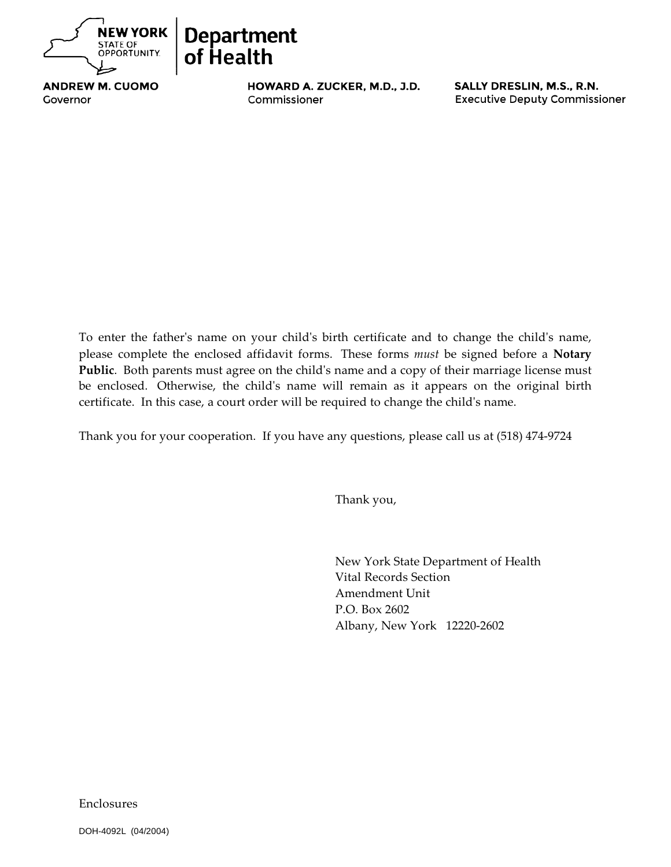



**ANDREW M. CUOMO** Governor

ABCDEFGHIJKLMNOPQR Commissioner ABCDEFGHIJGEN in der ABCDEFGHIJGEN in der ABCDEFGHIJGEN in der ABCDEFGHIJGEN in der ABCDEFGHIJGEN<br>Der ABCDEFGHIJGEN in der ABCDEFGHIJGEN in der ABCDEFGHIJGEN in der ABCDEFGHIJGEN in der ABCDEFGHIJGEN in der A

To enter the father's name on your child's birth certificate and to change the child's name, please complete the enclosed affidavit forms. These forms *must* be signed before a **Notary Public**. Both parents must agree on the child's name and a copy of their marriage license must be enclosed. Otherwise, the child's name will remain as it appears on the original birth certificate. In this case, a court order will be required to change the child's name.

Thank you for your cooperation. If you have any questions, please call us at (518) 474-9724

Thank you,

New York State Department of Health Vital Records Section Amendment Unit P.O. Box 2602 Albany, New York 12220-2602

Enclosures

DOH-4092L (04/2004)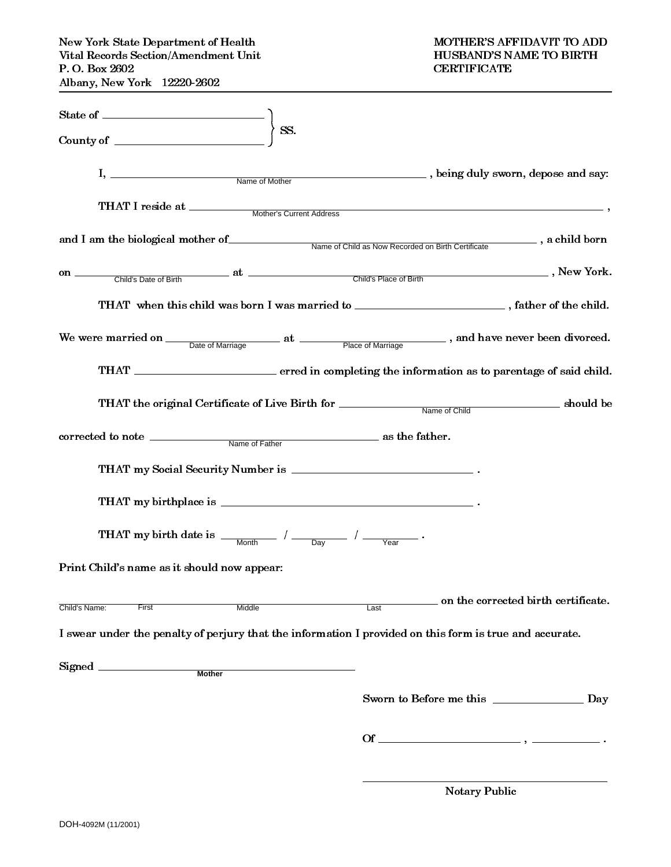| $\begin{minipage}{0.9\linewidth} \textbf{State of} \begin{minipage}{0.9\linewidth} \centering \end{minipage} \begin{minipage}{0.9\linewidth} \centering \end{minipage} \begin{minipage}{0.9\linewidth} \centering \begin{minipage}{0.9\linewidth} \centering \end{minipage} \begin{minipage}{0.9\linewidth} \centering \end{minipage} \begin{minipage}{0.9\linewidth} \centering \end{minipage} \begin{minipage}{0.9\linewidth} \centering \end{minipage} \begin{minipage}{0.9\linewidth} \centering \begin{minipage}{0.9\linewidth} \centering \centering \end{minipage} \begin{min$ |                                             |  |
|---------------------------------------------------------------------------------------------------------------------------------------------------------------------------------------------------------------------------------------------------------------------------------------------------------------------------------------------------------------------------------------------------------------------------------------------------------------------------------------------------------------------------------------------------------------------------------------|---------------------------------------------|--|
| SS.<br>County of $\overline{\qquad \qquad }$                                                                                                                                                                                                                                                                                                                                                                                                                                                                                                                                          |                                             |  |
| I, Name of Mother                                                                                                                                                                                                                                                                                                                                                                                                                                                                                                                                                                     | heing duly sworn, depose and say:           |  |
|                                                                                                                                                                                                                                                                                                                                                                                                                                                                                                                                                                                       |                                             |  |
| and I am the biological mother of Name of Child as Now Recorded on Birth Certificate , a child born                                                                                                                                                                                                                                                                                                                                                                                                                                                                                   |                                             |  |
|                                                                                                                                                                                                                                                                                                                                                                                                                                                                                                                                                                                       |                                             |  |
| THAT when this child was born I was married to ___________________________, father of the child.                                                                                                                                                                                                                                                                                                                                                                                                                                                                                      |                                             |  |
| We were married on <u>Date of Marriage</u> at <u>Place of Marriage</u> , and have never been divorced.                                                                                                                                                                                                                                                                                                                                                                                                                                                                                |                                             |  |
|                                                                                                                                                                                                                                                                                                                                                                                                                                                                                                                                                                                       |                                             |  |
|                                                                                                                                                                                                                                                                                                                                                                                                                                                                                                                                                                                       |                                             |  |
|                                                                                                                                                                                                                                                                                                                                                                                                                                                                                                                                                                                       |                                             |  |
|                                                                                                                                                                                                                                                                                                                                                                                                                                                                                                                                                                                       |                                             |  |
|                                                                                                                                                                                                                                                                                                                                                                                                                                                                                                                                                                                       |                                             |  |
| THAT my birth date is $\frac{1}{\sqrt{2\pi}}$ / $\frac{1}{\sqrt{2\pi}}$ / $\frac{1}{\sqrt{2\pi}}$ .                                                                                                                                                                                                                                                                                                                                                                                                                                                                                   |                                             |  |
| Print Child's name as it should now appear:                                                                                                                                                                                                                                                                                                                                                                                                                                                                                                                                           |                                             |  |
| Child's Name:<br>First<br>Middle                                                                                                                                                                                                                                                                                                                                                                                                                                                                                                                                                      | on the corrected birth certificate.<br>Last |  |
| I swear under the penalty of perjury that the information I provided on this form is true and accurate.                                                                                                                                                                                                                                                                                                                                                                                                                                                                               |                                             |  |
| Signed<br><b>Mother</b>                                                                                                                                                                                                                                                                                                                                                                                                                                                                                                                                                               |                                             |  |
|                                                                                                                                                                                                                                                                                                                                                                                                                                                                                                                                                                                       | Sworn to Before me this<br>Day              |  |
|                                                                                                                                                                                                                                                                                                                                                                                                                                                                                                                                                                                       |                                             |  |

Notary Public